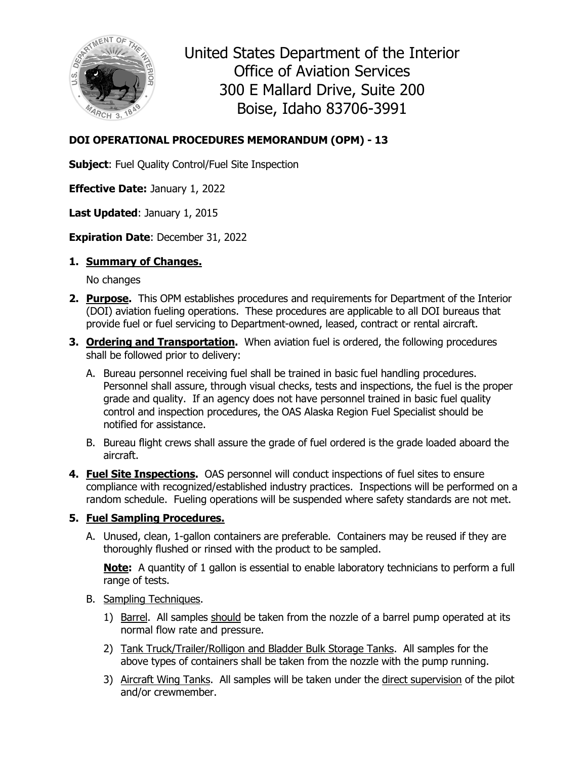

United States Department of the Interior Office of Aviation Services 300 E Mallard Drive, Suite 200 Boise, Idaho 83706-3991

## **DOI OPERATIONAL PROCEDURES MEMORANDUM (OPM) - 13**

**Subject:** Fuel Quality Control/Fuel Site Inspection

**Effective Date:** January 1, 2022

**Last Updated**: January 1, 2015

**Expiration Date**: December 31, 2022

## **1. Summary of Changes.**

No changes

- **2. Purpose.** This OPM establishes procedures and requirements for Department of the Interior (DOI) aviation fueling operations. These procedures are applicable to all DOI bureaus that provide fuel or fuel servicing to Department-owned, leased, contract or rental aircraft.
- **3. Ordering and Transportation.** When aviation fuel is ordered, the following procedures shall be followed prior to delivery:
	- A. Bureau personnel receiving fuel shall be trained in basic fuel handling procedures. Personnel shall assure, through visual checks, tests and inspections, the fuel is the proper grade and quality. If an agency does not have personnel trained in basic fuel quality control and inspection procedures, the OAS Alaska Region Fuel Specialist should be notified for assistance.
	- B. Bureau flight crews shall assure the grade of fuel ordered is the grade loaded aboard the aircraft.
- **4. Fuel Site Inspections.** OAS personnel will conduct inspections of fuel sites to ensure compliance with recognized/established industry practices. Inspections will be performed on a random schedule. Fueling operations will be suspended where safety standards are not met.

## **5. Fuel Sampling Procedures.**

A. Unused, clean, 1-gallon containers are preferable. Containers may be reused if they are thoroughly flushed or rinsed with the product to be sampled.

**Note:** A quantity of 1 gallon is essential to enable laboratory technicians to perform a full range of tests.

## B. Sampling Techniques.

- 1) Barrel. All samples should be taken from the nozzle of a barrel pump operated at its normal flow rate and pressure.
- 2) Tank Truck/Trailer/Rolligon and Bladder Bulk Storage Tanks. All samples for the above types of containers shall be taken from the nozzle with the pump running.
- 3) Aircraft Wing Tanks. All samples will be taken under the direct supervision of the pilot and/or crewmember.